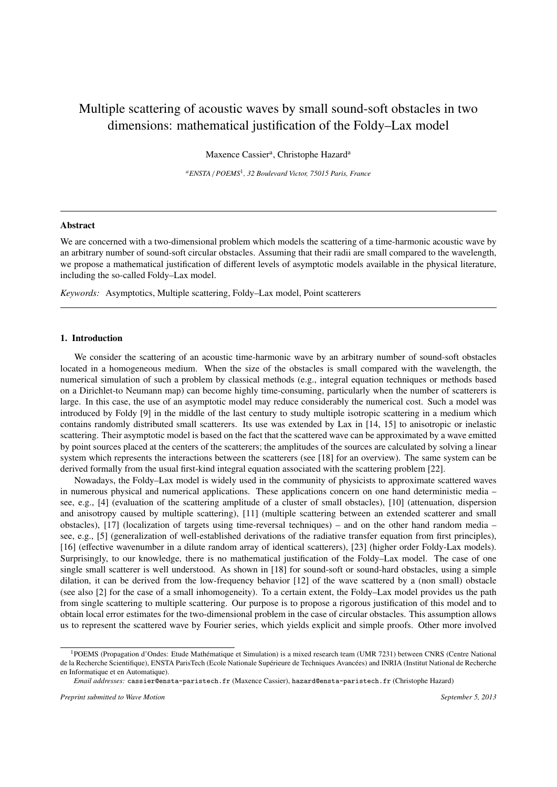# Multiple scattering of acoustic waves by small sound-soft obstacles in two dimensions: mathematical justification of the Foldy–Lax model

Maxence Cassier<sup>a</sup>, Christophe Hazard<sup>a</sup>

*<sup>a</sup>ENSTA* / *POEMS*<sup>1</sup> *, 32 Boulevard Victor, 75015 Paris, France*

## Abstract

We are concerned with a two-dimensional problem which models the scattering of a time-harmonic acoustic wave by an arbitrary number of sound-soft circular obstacles. Assuming that their radii are small compared to the wavelength, we propose a mathematical justification of different levels of asymptotic models available in the physical literature, including the so-called Foldy–Lax model.

*Keywords:* Asymptotics, Multiple scattering, Foldy–Lax model, Point scatterers

# 1. Introduction

We consider the scattering of an acoustic time-harmonic wave by an arbitrary number of sound-soft obstacles located in a homogeneous medium. When the size of the obstacles is small compared with the wavelength, the numerical simulation of such a problem by classical methods (e.g., integral equation techniques or methods based on a Dirichlet-to Neumann map) can become highly time-consuming, particularly when the number of scatterers is large. In this case, the use of an asymptotic model may reduce considerably the numerical cost. Such a model was introduced by Foldy [9] in the middle of the last century to study multiple isotropic scattering in a medium which contains randomly distributed small scatterers. Its use was extended by Lax in [14, 15] to anisotropic or inelastic scattering. Their asymptotic model is based on the fact that the scattered wave can be approximated by a wave emitted by point sources placed at the centers of the scatterers; the amplitudes of the sources are calculated by solving a linear system which represents the interactions between the scatterers (see [18] for an overview). The same system can be derived formally from the usual first-kind integral equation associated with the scattering problem [22].

Nowadays, the Foldy–Lax model is widely used in the community of physicists to approximate scattered waves in numerous physical and numerical applications. These applications concern on one hand deterministic media – see, e.g., [4] (evaluation of the scattering amplitude of a cluster of small obstacles), [10] (attenuation, dispersion and anisotropy caused by multiple scattering), [11] (multiple scattering between an extended scatterer and small obstacles), [17] (localization of targets using time-reversal techniques) – and on the other hand random media – see, e.g., [5] (generalization of well-established derivations of the radiative transfer equation from first principles), [16] (effective wavenumber in a dilute random array of identical scatterers), [23] (higher order Foldy-Lax models). Surprisingly, to our knowledge, there is no mathematical justification of the Foldy–Lax model. The case of one single small scatterer is well understood. As shown in [18] for sound-soft or sound-hard obstacles, using a simple dilation, it can be derived from the low-frequency behavior [12] of the wave scattered by a (non small) obstacle (see also [2] for the case of a small inhomogeneity). To a certain extent, the Foldy–Lax model provides us the path from single scattering to multiple scattering. Our purpose is to propose a rigorous justification of this model and to obtain local error estimates for the two-dimensional problem in the case of circular obstacles. This assumption allows us to represent the scattered wave by Fourier series, which yields explicit and simple proofs. Other more involved

<sup>&</sup>lt;sup>1</sup>POEMS (Propagation d'Ondes: Etude Mathématique et Simulation) is a mixed research team (UMR 7231) between CNRS (Centre National de la Recherche Scientifique), ENSTA ParisTech (Ecole Nationale Supérieure de Techniques Avancées) and INRIA (Institut National de Recherche en Informatique et en Automatique).

*Email addresses:* cassier@ensta-paristech.fr (Maxence Cassier), hazard@ensta-paristech.fr (Christophe Hazard)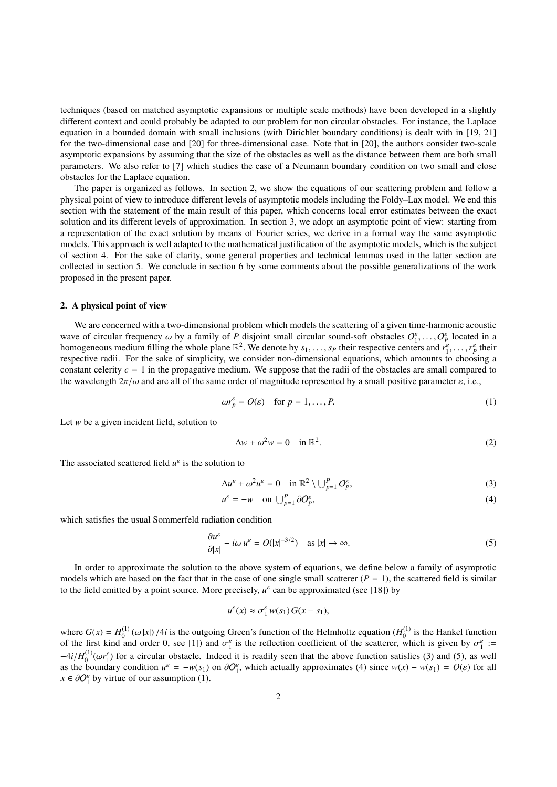techniques (based on matched asymptotic expansions or multiple scale methods) have been developed in a slightly different context and could probably be adapted to our problem for non circular obstacles. For instance, the Laplace equation in a bounded domain with small inclusions (with Dirichlet boundary conditions) is dealt with in [19, 21] for the two-dimensional case and [20] for three-dimensional case. Note that in [20], the authors consider two-scale asymptotic expansions by assuming that the size of the obstacles as well as the distance between them are both small parameters. We also refer to [7] which studies the case of a Neumann boundary condition on two small and close obstacles for the Laplace equation.

The paper is organized as follows. In section 2, we show the equations of our scattering problem and follow a physical point of view to introduce different levels of asymptotic models including the Foldy–Lax model. We end this section with the statement of the main result of this paper, which concerns local error estimates between the exact solution and its different levels of approximation. In section 3, we adopt an asymptotic point of view: starting from a representation of the exact solution by means of Fourier series, we derive in a formal way the same asymptotic models. This approach is well adapted to the mathematical justification of the asymptotic models, which is the subject of section 4. For the sake of clarity, some general properties and technical lemmas used in the latter section are collected in section 5. We conclude in section 6 by some comments about the possible generalizations of the work proposed in the present paper.

#### 2. A physical point of view

We are concerned with a two-dimensional problem which models the scattering of a given time-harmonic acoustic wave of circular frequency  $\omega$  by a family of *P* disjoint small circular sound-soft obstacles  $O_1^{\varepsilon}, \ldots, O_p^{\varepsilon}$  located in a<br>homogeneous medium filling the whole plane  $\mathbb{R}^2$ . We denote by second-their respect homogeneous medium filling the whole plane  $\mathbb{R}^2$ . We denote by  $s_1, \ldots, s_p$  their respective centers and  $r_1^e, \ldots, r_p^e$  their respective radii. For the sake of simplicity, we consider non-dimensional equations, which amounts to choosing a constant celerity  $c = 1$  in the propagative medium. We suppose that the radii of the obstacles are small compared to the wavelength  $2\pi/\omega$  and are all of the same order of magnitude represented by a small positive parameter  $\varepsilon$ , i.e.,

$$
\omega r_p^{\varepsilon} = O(\varepsilon) \quad \text{for } p = 1, \dots, P. \tag{1}
$$

Let *w* be a given incident field, solution to

$$
\Delta w + \omega^2 w = 0 \quad \text{in } \mathbb{R}^2. \tag{2}
$$

The associated scattered field  $u^{\varepsilon}$  is the solution to

$$
\Delta u^{\varepsilon} + \omega^2 u^{\varepsilon} = 0 \quad \text{in } \mathbb{R}^2 \setminus \bigcup_{p=1}^P \overline{O_p^{\varepsilon}},\tag{3}
$$

$$
u^{\varepsilon} = -w \quad \text{on } \bigcup_{p=1}^{P} \partial O_p^{\varepsilon},\tag{4}
$$

which satisfies the usual Sommerfeld radiation condition

$$
\frac{\partial u^{\varepsilon}}{\partial |x|} - i\omega u^{\varepsilon} = O(|x|^{-3/2}) \quad \text{as } |x| \to \infty.
$$
 (5)

In order to approximate the solution to the above system of equations, we define below a family of asymptotic models which are based on the fact that in the case of one single small scatterer  $(P = 1)$ , the scattered field is similar to the field emitted by a point source. More precisely, *u*<sup>ε</sup> can be approximated (see [18]) by

$$
u^{\varepsilon}(x) \approx \sigma_1^{\varepsilon} w(s_1) G(x-s_1),
$$

where  $G(x) = H_0^{(1)}$ <sup>(1)</sup> ( $\omega |x|$ ) /4*i* is the outgoing Green's function of the Helmholtz equation ( $H_0^{(1)}$ ) and order 0, see [1]) and  $\sigma^{\epsilon}$  is the reflection coefficient of the scatterer wh  $_0^{(1)}$  is the Hankel function of the first kind and order 0, see [1]) and  $\sigma_f^e$  is the reflection coefficient of the scatterer, which is given by  $\sigma_f^e :=$ <br> $Ai(H^{(1)}(x\vec{r})$  for a simular absteads. Indeed it is readily seen that the above function exti  $-4i/H_0^{(1)}$ <br>as the bo ( $\mu_0^{(1)}(\omega r_1^e)$ ) for a circular obstacle. Indeed it is readily seen that the above function satisfies (3) and (5), as well<br>boundary condition  $\mu^e = -\mu(s_1)$  on  $\partial O^e$ , which actually approximates (4) since  $\nu(x) = \nu(s_$ as the boundary condition  $u^{\varepsilon} = -w(s_1)$  on  $\partial O_1^{\varepsilon}$ , which actually approximates (4) since  $w(x) - w(s_1) = O(\varepsilon)$  for all  $x \in \partial O_1^{\varepsilon}$  by virtue of our assumption (1)  $x \in \partial O_1^{\varepsilon}$  by virtue of our assumption (1).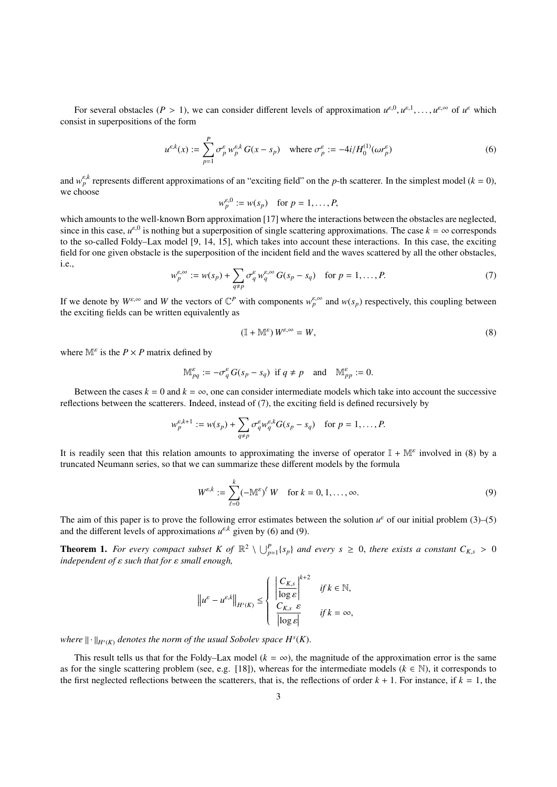For several obstacles (*P* > 1), we can consider different levels of approximation  $u^{\varepsilon,0}, u^{\varepsilon,1}, \ldots, u^{\varepsilon,\infty}$  of  $u^{\varepsilon}$  which consist in superpositions of the form

$$
u^{\varepsilon,k}(x) := \sum_{p=1}^P \sigma_p^{\varepsilon} w_p^{\varepsilon,k} G(x - s_p) \quad \text{where } \sigma_p^{\varepsilon} := -4i/H_0^{(1)}(\omega r_p^{\varepsilon})
$$
 (6)

and  $w_p^{\varepsilon,k}$  represents different approximations of an "exciting field" on the *p*-th scatterer. In the simplest model ( $k = 0$ ), we choose

$$
w_p^{\varepsilon,0} := w(s_p) \quad \text{for } p = 1,\ldots,P,
$$

which amounts to the well-known Born approximation [17] where the interactions between the obstacles are neglected, since in this case,  $u^{\varepsilon,0}$  is nothing but a superposition of single scattering approximations. The case  $k = \infty$  corresponds to the so-called Foldy–Lax model [9, 14, 15], which takes into account these interactions. In this case, the exciting field for one given obstacle is the superposition of the incident field and the waves scattered by all the other obstacles, i.e.,

$$
w_p^{\varepsilon,\infty} := w(s_p) + \sum_{q \neq p} \sigma_q^{\varepsilon} w_q^{\varepsilon,\infty} G(s_p - s_q) \quad \text{for } p = 1, \dots, P. \tag{7}
$$

If we denote by  $W^{\varepsilon,\infty}$  and W the vectors of  $\mathbb{C}^P$  with components  $w_p^{\varepsilon,\infty}$  and  $w(s_p)$  respectively, this coupling between the exciting fields can be written equivalently as

$$
(\mathbb{I} + \mathbb{M}^{\varepsilon}) W^{\varepsilon, \infty} = W,\tag{8}
$$

where  $\mathbb{M}^{\varepsilon}$  is the  $P \times P$  matrix defined by

$$
\mathbb{M}_{pq}^{\varepsilon} := -\sigma_q^{\varepsilon} G(s_p - s_q) \text{ if } q \neq p \text{ and } \mathbb{M}_{pp}^{\varepsilon} := 0.
$$

Between the cases  $k = 0$  and  $k = \infty$ , one can consider intermediate models which take into account the successive reflections between the scatterers. Indeed, instead of (7), the exciting field is defined recursively by

$$
w_p^{\varepsilon,k+1} := w(s_p) + \sum_{q \neq p} \sigma_q^{\varepsilon} w_q^{\varepsilon,k} G(s_p - s_q) \quad \text{for } p = 1, \dots, P.
$$

It is readily seen that this relation amounts to approximating the inverse of operator  $\mathbb{I} + \mathbb{M}^{\varepsilon}$  involved in (8) by a truncated Neumann series, so that we can summarize these different models by the formula

$$
W^{\varepsilon,k} := \sum_{\ell=0}^k (-\mathbb{M}^{\varepsilon})^{\ell} W \quad \text{for } k = 0, 1, \dots, \infty.
$$
 (9)

The aim of this paper is to prove the following error estimates between the solution  $u^{\varepsilon}$  of our initial problem (3)–(5) and the different levels of approximations  $u^{\varepsilon,k}$  given by (6) and (9).

**Theorem 1.** For every compact subset K of  $\mathbb{R}^2 \setminus \bigcup_{p=1}^P \{s_p\}$  and every  $s \ge 0$ , there exists a constant  $C_{K,s} > 0$  independent of  $s$  such that for  $s$  small enough *independent of* ε *such that for* ε *small enough,*

$$
\|u^{\varepsilon} - u^{\varepsilon,k}\|_{H^{s}(K)} \leq \begin{cases} \left|\frac{C_{K,s}}{\log \varepsilon}\right|^{k+2} & \text{if } k \in \mathbb{N},\\ C_{K,s} & \text{if } k = \infty, \end{cases}
$$

where  $||\cdot||_{H^s(K)}$  denotes the norm of the usual Sobolev space  $H^s(K)$ .

This result tells us that for the Foldy–Lax model ( $k = \infty$ ), the magnitude of the approximation error is the same as for the single scattering problem (see, e.g. [18]), whereas for the intermediate models ( $k \in \mathbb{N}$ ), it corresponds to the first neglected reflections between the scatterers, that is, the reflections of order  $k + 1$ . For instance, if  $k = 1$ , the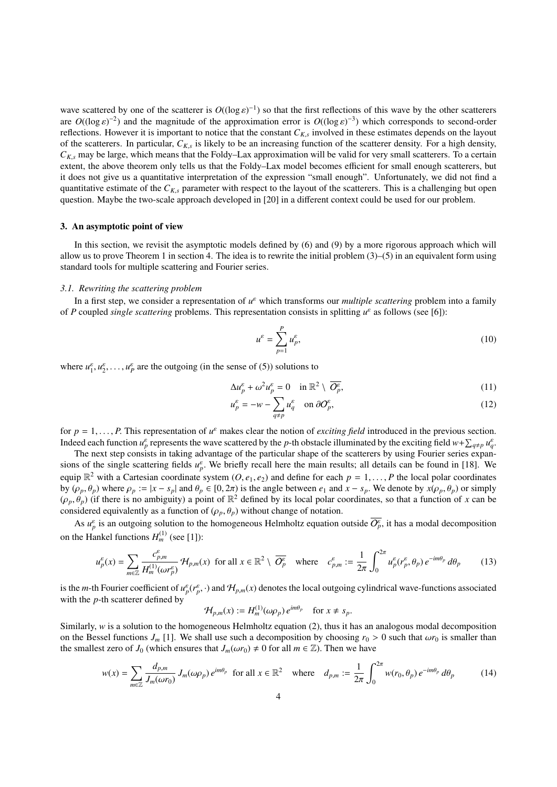wave scattered by one of the scatterer is  $O((\log \epsilon)^{-1})$  so that the first reflections of this wave by the other scatterers<br>are  $O((\log \epsilon)^{-2})$  and the magnitude of the approximation error is  $O((\log \epsilon)^{-3})$  which corresponds to are  $O((\log \epsilon)^{-2})$  and the magnitude of the approximation error is  $O((\log \epsilon)^{-3})$  which corresponds to second-order<br>reflections. However it is important to notice that the constant  $C_{\kappa}$  involved in these estimates depends reflections. However it is important to notice that the constant  $C_{K,s}$  involved in these estimates depends on the layout of the scatterers. In particular,  $C_{K,s}$  is likely to be an increasing function of the scatterer density. For a high density,  $C_{K,s}$  move be always which means that the Foldy. Let approximation will be valid for your em  $C_{K,s}$  may be large, which means that the Foldy–Lax approximation will be valid for very small scatterers. To a certain extent, the above theorem only tells us that the Foldy–Lax model becomes efficient for small enough scatterers, but it does not give us a quantitative interpretation of the expression "small enough". Unfortunately, we did not find a quantitative estimate of the  $C_{K,s}$  parameter with respect to the layout of the scatterers. This is a challenging but open question. Maybe the two-scale approach developed in [20] in a different context could be used for our problem.

# 3. An asymptotic point of view

In this section, we revisit the asymptotic models defined by (6) and (9) by a more rigorous approach which will allow us to prove Theorem 1 in section 4. The idea is to rewrite the initial problem  $(3)$ – $(5)$  in an equivalent form using standard tools for multiple scattering and Fourier series.

#### *3.1. Rewriting the scattering problem*

In a first step, we consider a representation of  $u^{\varepsilon}$  which transforms our *multiple scattering* problem into a family of *P* coupled *single scattering* problems. This representation consists in splitting  $u^{\varepsilon}$  as follows (see [6]):

$$
u^{\varepsilon} = \sum_{p=1}^{P} u_p^{\varepsilon},\tag{10}
$$

where  $u_1^{\varepsilon}, u_2^{\varepsilon}, \dots, u_p^{\varepsilon}$  are the outgoing (in the sense of (5)) solutions to

$$
\Delta u_p^{\varepsilon} + \omega^2 u_p^{\varepsilon} = 0 \quad \text{in } \mathbb{R}^2 \setminus \overline{O_p^{\varepsilon}},\tag{11}
$$

$$
u_p^{\varepsilon} = -w - \sum_{q \neq p} u_q^{\varepsilon} \quad \text{on } \partial O_p^{\varepsilon}, \tag{12}
$$

for  $p = 1, \ldots, P$ . This representation of  $u^{\varepsilon}$  makes clear the notion of *exciting field* introduced in the previous section.<br>Indeed each function  $u^{\varepsilon}$  represents the wave scattered by the n-th obstacle illuminat Indeed each function  $u_p^{\varepsilon}$  represents the wave scattered by the *p*-th obstacle illuminated by the exciting field  $w+\sum_{q\neq p}u_q^{\varepsilon}$ 

The next step consists in taking advantage of the particular shape of the scatterers by using Fourier series expansions of the single scattering fields  $u_p^e$ . We briefly recall here the main results; all details can be found in [18]. We<br>causin  $\mathbb{P}^2$  with a Certasian coordinate system (O a a) and define for each  $n = 1$ , B the lo equip  $\mathbb{R}^2$  with a Cartesian coordinate system  $(O, e_1, e_2)$  and define for each  $p = 1, \ldots, P$  the local polar coordinates by  $(O, \theta)$  where  $O$   $\mathbb{R}^2$  and  $\theta$   $\in$   $[0, 2\pi)$  is the angle between  $e_1$  and  $x = s$ . by (ρ*<sup>p</sup>*, θ*<sup>p</sup>*) where <sup>ρ</sup>*<sup>p</sup>* :<sup>=</sup> <sup>|</sup>*<sup>x</sup>* <sup>−</sup> *<sup>s</sup>p*<sup>|</sup> and <sup>θ</sup>*<sup>p</sup>* <sup>∈</sup> [0, <sup>2</sup>π) is the angle between *<sup>e</sup>*<sup>1</sup> and *<sup>x</sup>* <sup>−</sup> *<sup>s</sup><sup>p</sup>*. We denote by *<sup>x</sup>*(ρ*<sup>p</sup>*, θ*<sup>p</sup>*) or simply  $(\rho_p, \theta_p)$  (if there is no ambiguity) a point of  $\mathbb{R}^2$  defined by its local polar coordinates, so that a function of *x* can be considered equivalently as a function of  $(\rho, \theta)$  without change of notation considered equivalently as a function of  $(\rho_p, \theta_p)$  without change of notation.

As  $u_p^{\varepsilon}$  is an outgoing solution to the homogeneous Helmholtz equation outside  $O_p^{\varepsilon}$ , it has a modal decomposition on the Hankel functions  $H_m^{(1)}$  (see [1]):

$$
u_p^{\varepsilon}(x) = \sum_{m \in \mathbb{Z}} \frac{c_{p,m}^{\varepsilon}}{H_m^{(1)}(\omega r_p^{\varepsilon})} \mathcal{H}_{p,m}(x) \text{ for all } x \in \mathbb{R}^2 \setminus \overline{O_p^{\varepsilon}} \text{ where } c_{p,m}^{\varepsilon} := \frac{1}{2\pi} \int_0^{2\pi} u_p^{\varepsilon}(r_p^{\varepsilon}, \theta_p) e^{-im\theta_p} d\theta_p \qquad (13)
$$

is the *m*-th Fourier coefficient of  $u_p^{\varepsilon}(r_p^{\varepsilon}, \cdot)$  and  $\mathcal{H}_{p,m}(x)$  denotes the local outgoing cylindrical wave-functions associated with the *n*-th scatterer defined by with the *p*-th scatterer defined by

$$
\mathcal{H}_{p,m}(x) := H_m^{(1)}(\omega \rho_p) e^{im\theta_p} \quad \text{for } x \neq s_p.
$$

Similarly, *w* is a solution to the homogeneous Helmholtz equation (2), thus it has an analogous modal decomposition on the Bessel functions  $J_m$  [1]. We shall use such a decomposition by choosing  $r_0 > 0$  such that  $\omega r_0$  is smaller than the smallest zero of *J*<sub>0</sub> (which ensures that  $J_m(\omega r_0) \neq 0$  for all  $m \in \mathbb{Z}$ ). Then we have

$$
w(x) = \sum_{m \in \mathbb{Z}} \frac{d_{p,m}}{J_m(\omega r_0)} J_m(\omega \rho_p) e^{im\theta_p} \text{ for all } x \in \mathbb{R}^2 \quad \text{where} \quad d_{p,m} := \frac{1}{2\pi} \int_0^{2\pi} w(r_0, \theta_p) e^{-im\theta_p} d\theta_p \tag{14}
$$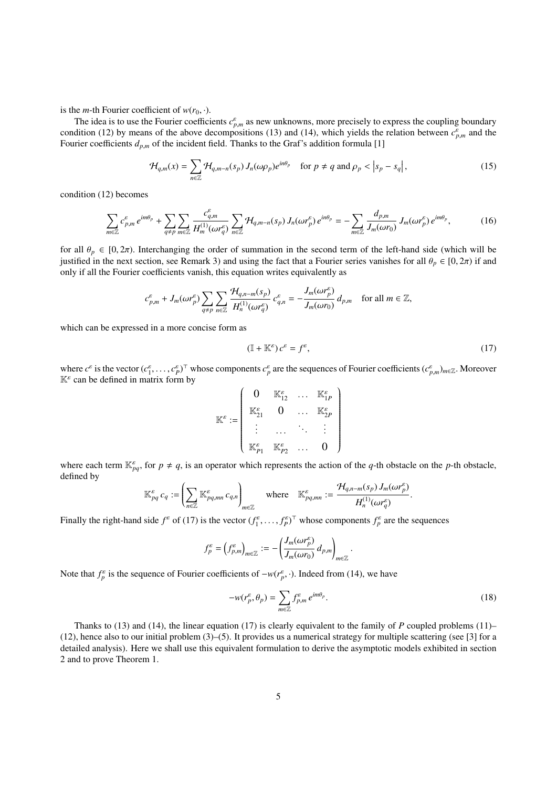is the *m*-th Fourier coefficient of  $w(r_0, \cdot)$ .

The idea is to use the Fourier coefficients  $c_{p,m}^{\varepsilon}$  as new unknowns, more precisely to express the coupling boundary<br>dition (12) by means of the above decompositions (13) and (14) which vields the relation between condition (12) by means of the above decompositions (13) and (14), which yields the relation between  $c_{p,m}^{\varepsilon}$  and the Eurier coefficients  $d_{\varepsilon}$  of the incident field. Thanks to the Graf's addition formula [1] Fourier coefficients  $d_{p,m}$  of the incident field. Thanks to the Graf's addition formula [1]

$$
\mathcal{H}_{q,m}(x) = \sum_{n \in \mathbb{Z}} \mathcal{H}_{q,m-n}(s_p) J_n(\omega \rho_p) e^{in\theta_p} \quad \text{for } p \neq q \text{ and } \rho_p < |s_p - s_q|,\tag{15}
$$

condition (12) becomes

$$
\sum_{m\in\mathbb{Z}}c_{p,m}^{\varepsilon}e^{im\theta_p} + \sum_{q\neq p}\sum_{m\in\mathbb{Z}}\frac{c_{q,m}^{\varepsilon}}{H_m^{(1)}(\omega r_q^{\varepsilon})}\sum_{n\in\mathbb{Z}}\mathcal{H}_{q,m-n}(s_p)J_n(\omega r_p^{\varepsilon})e^{in\theta_p} = -\sum_{m\in\mathbb{Z}}\frac{d_{p,m}}{J_m(\omega r_0)}J_m(\omega r_p^{\varepsilon})e^{im\theta_p},\tag{16}
$$

for all  $\theta_p \in [0, 2\pi)$ . Interchanging the order of summation in the second term of the left-hand side (which will be justified in the next section, see Remark 3) and using the fact that a Fourier series vanishes for all  $\theta_p \in [0, 2\pi)$  if and only if all the Fourier coefficients vanish, this equation writes equivalently as

$$
c_{p,m}^{\varepsilon} + J_m(\omega r_p^{\varepsilon}) \sum_{q \neq p} \sum_{n \in \mathbb{Z}} \frac{\mathcal{H}_{q,n-m}(s_p)}{H_n^{(1)}(\omega r_q^{\varepsilon})} c_{q,n}^{\varepsilon} = -\frac{J_m(\omega r_p^{\varepsilon})}{J_m(\omega r_0)} d_{p,m} \quad \text{for all } m \in \mathbb{Z},
$$

which can be expressed in a more concise form as

$$
(\mathbb{I} + \mathbb{K}^{\varepsilon}) c^{\varepsilon} = f^{\varepsilon}, \tag{17}
$$

where  $c^{\varepsilon}$  is the vector  $(c^{\varepsilon}_1, \ldots, c^{\varepsilon}_p)^\top$  whose components  $c^{\varepsilon}_p$  are the sequences of Fourier coefficients  $(c^{\varepsilon}_{p,m})_{m\in\mathbb{Z}}$ . Moreover  $\mathbb{K}^{\varepsilon}$  can be defined in matrix form by

$$
\mathbb{K}^{\varepsilon} := \left(\begin{array}{cccc} 0 & \mathbb{K}^{\varepsilon}_{12} & \cdots & \mathbb{K}^{\varepsilon}_{1P} \\ \mathbb{K}^{\varepsilon}_{21} & 0 & \cdots & \mathbb{K}^{\varepsilon}_{2P} \\ \vdots & \cdots & \ddots & \vdots \\ \mathbb{K}^{\varepsilon}_{P1} & \mathbb{K}^{\varepsilon}_{P2} & \cdots & 0 \end{array}\right)
$$

where each term  $\mathbb{K}_{pq}^{\varepsilon}$ , for  $p \neq q$ , is an operator which represents the action of the *q*-th obstacle on the *p*-th obstacle, defined by defined by

$$
\mathbb{K}^{\varepsilon}_{pq} c_q := \left( \sum_{n \in \mathbb{Z}} \mathbb{K}^{\varepsilon}_{pq, mn} c_{q, n} \right)_{m \in \mathbb{Z}} \quad \text{where} \quad \mathbb{K}^{\varepsilon}_{pq, mn} := \frac{\mathcal{H}_{q, n-m}(s_p) J_m(\omega r_p^{\varepsilon})}{H_n^{(1)}(\omega r_q^{\varepsilon})}
$$

Finally the right-hand side  $f^{\varepsilon}$  of (17) is the vector  $(f^{\varepsilon}_1, ..., f^{\varepsilon}_p)^\top$  whose components  $f^{\varepsilon}_p$  are the sequences

$$
f_p^{\varepsilon} = \left(f_{p,m}^{\varepsilon}\right)_{m\in\mathbb{Z}} := -\left(\frac{J_m(\omega r_p^{\varepsilon})}{J_m(\omega r_0)} d_{p,m}\right)_{m\in\mathbb{Z}}
$$

Note that  $f_p^{\varepsilon}$  is the sequence of Fourier coefficients of  $-w(r_p^{\varepsilon}, \cdot)$ . Indeed from (14), we have

$$
-w(r_p^{\varepsilon}, \theta_p) = \sum_{m \in \mathbb{Z}} f_{p,m}^{\varepsilon} e^{im\theta_p}.
$$
 (18)

Thanks to (13) and (14), the linear equation (17) is clearly equivalent to the family of *P* coupled problems (11)–  $(12)$ , hence also to our initial problem  $(3)$ – $(5)$ . It provides us a numerical strategy for multiple scattering (see [3] for a detailed analysis). Here we shall use this equivalent formulation to derive the asymptotic models exhibited in section 2 and to prove Theorem 1.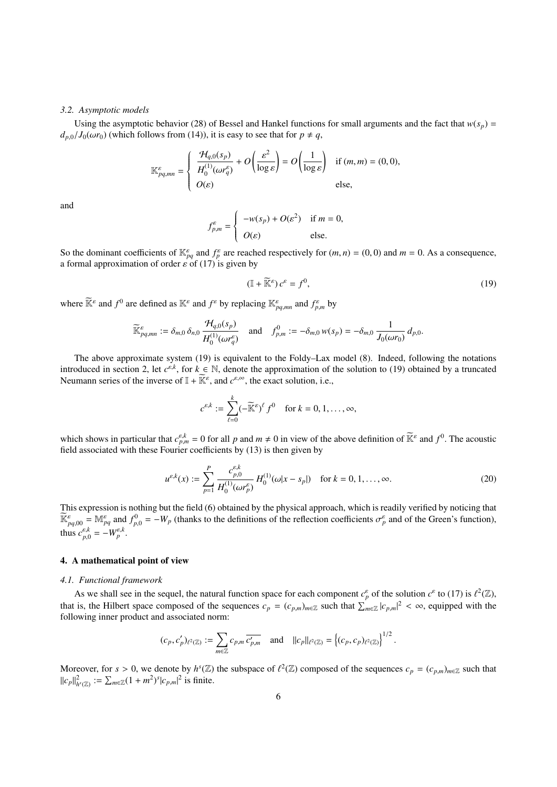#### *3.2. Asymptotic models*

Using the asymptotic behavior (28) of Bessel and Hankel functions for small arguments and the fact that  $w(s_p)$  =  $d_{p,0}/J_0(\omega r_0)$  (which follows from (14)), it is easy to see that for  $p \neq q$ ,

$$
\mathbb{K}^{\varepsilon}_{pq,mn} = \begin{cases} \frac{\mathcal{H}_{q,0}(s_p)}{H_0^{(1)}(\omega r_q^{\varepsilon})} + O\left(\frac{\varepsilon^2}{\log \varepsilon}\right) = O\left(\frac{1}{\log \varepsilon}\right) & \text{if } (m,m) = (0,0), \\ O(\varepsilon) & \text{else,} \end{cases}
$$

and

$$
f_{p,m}^{\varepsilon} = \begin{cases} -w(s_p) + O(\varepsilon^2) & \text{if } m = 0, \\ O(\varepsilon) & \text{else.} \end{cases}
$$

So the dominant coefficients of  $\mathbb{K}_{pq}^{\varepsilon}$  and  $f_p^{\varepsilon}$  are reached respectively for  $(m, n) = (0, 0)$  and  $m = 0$ . As a consequence, a formal approximation of order  $\varepsilon$  of (17) is given by

$$
(\mathbb{I} + \widetilde{\mathbb{K}}^{\varepsilon}) c^{\varepsilon} = f^0,\tag{19}
$$

where  $\widetilde{\mathbb{K}}^{\varepsilon}$  and  $f^0$  are defined as  $\mathbb{K}^{\varepsilon}$  and  $f^{\varepsilon}$  by replacing  $\mathbb{K}^{\varepsilon}_{pq,mn}$  and  $f^{\varepsilon}_{p,m}$  by

$$
\widetilde{\mathbb{K}}^{\varepsilon}_{pq,mn} := \delta_{m,0} \, \delta_{n,0} \, \frac{\mathcal{H}_{q,0}(s_p)}{H_0^{(1)}(\omega r_q^{\varepsilon})} \quad \text{and} \quad f_{p,m}^0 := -\delta_{m,0} \, w(s_p) = -\delta_{m,0} \, \frac{1}{J_0(\omega r_0)} \, d_{p,0}.
$$

The above approximate system (19) is equivalent to the Foldy–Lax model (8). Indeed, following the notations introduced in section 2, let  $c^{\varepsilon,k}$ , for  $k \in \mathbb{N}$ , denote the approximation of the solution to (19) obtained by a truncated Neumann series of the inverse of  $\mathbb{I} + \widetilde{\mathbb{K}}^{\varepsilon}$  and  $c^{\varepsilon,\infty}$  the exact solu Neumann series of the inverse of  $\mathbb{I} + \widetilde{\mathbb{K}}^{\varepsilon}$ , and  $c^{\varepsilon, \infty}$ , the exact solution, i.e.,

$$
c^{\varepsilon,k} := \sum_{\ell=0}^k (-\widetilde{\mathbb{K}}^{\varepsilon})^\ell f^0 \quad \text{for } k = 0, 1, \dots, \infty,
$$

which shows in particular that  $c_{p,m}^{\varepsilon,k} = 0$  for all p and  $m \neq 0$  in view of the above definition of  $\widetilde{\mathbb{K}}^{\varepsilon}$  and  $f^0$ . The acoustic field associated with these Fourier coefficients by (13) is then given

$$
u^{\varepsilon,k}(x) := \sum_{p=1}^{P} \frac{c_{p,0}^{\varepsilon,k}}{H_0^{(1)}(\omega r_p^{\varepsilon})} H_0^{(1)}(\omega | x - s_p|) \quad \text{for } k = 0, 1, ..., \infty.
$$
 (20)

This expression is nothing but the field (6) obtained by the physical approach, which is readily verified by noticing that  $\widetilde{\mathbb{K}}_{pq,00}^{\varepsilon} = \mathbb{M}_{pq}^{\varepsilon}$  and  $f_{p,0}^{0} = -W_p$  (thanks to the definitions of the reflection coefficients  $\sigma_p^{\varepsilon}$  and of the Green's function), thus  $c_{p,0}^{\varepsilon,k} = -W_p^{\varepsilon,k}$ .

#### 4. A mathematical point of view

#### *4.1. Functional framework*

As we shall see in the sequel, the natural function space for each component  $c_p^{\varepsilon}$  of the solution  $c^{\varepsilon}$  to (17) is  $\ell^2(\mathbb{Z})$ , is the Hilbert space composed of the socurrence  $a_p = (c_p)$ , such that  $\sum_{p=1}^{\infty}$ that is, the Hilbert space composed of the sequences  $c_p = (c_{p,m})_{m \in \mathbb{Z}}$  such that  $\sum_{m \in \mathbb{Z}} |c_{p,m}|^2 < \infty$ , equipped with the following inner product and associated norm: following inner product and associated norm:

$$
(c_p, c'_p)_{\ell^2(\mathbb{Z})} := \sum_{m \in \mathbb{Z}} c_{p,m} \overline{c'_{p,m}} \quad \text{and} \quad ||c_p||_{\ell^2(\mathbb{Z})} = \left\{ (c_p, c_p)_{\ell^2(\mathbb{Z})} \right\}^{1/2}.
$$

Moreover, for  $s > 0$ , we denote by  $h^{s}(\mathbb{Z})$  the subspace of  $\ell^{2}(\mathbb{Z})$  composed of the sequences  $c_{p} = (c_{p,m})_{m \in \mathbb{Z}}$  such that  $||c_p||_{h^s(\mathbb{Z})}^2 := \sum_{m \in \mathbb{Z}} (1 + m^2)^s |c_{p,m}|^2$  is finite.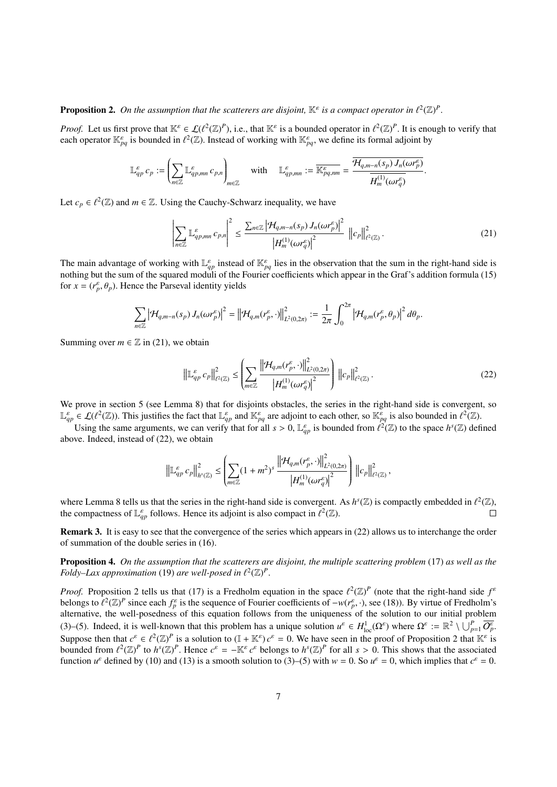# **Proposition 2.** On the assumption that the scatterers are disjoint,  $\mathbb{K}^{\varepsilon}$  is a compact operator in  $\ell^2(\mathbb{Z})^P$

*Proof.* Let us first prove that  $\mathbb{K}^{\varepsilon} \in \mathcal{L}(\ell^2(\mathbb{Z})^p)$ , i.e., that  $\mathbb{K}^{\varepsilon}$  is a bounded operator in  $\ell^2(\mathbb{Z})^p$ . It is enough to verify that each operator  $\mathbb{K}^{\varepsilon}$  is bounded in  $\ell^2(\mathbb{Z})$ . each operator  $\mathbb{K}_{pq}^{\varepsilon}$  is bounded in  $\ell^2(\mathbb{Z})$ . Instead of working with  $\mathbb{K}_{pq}^{\varepsilon}$ , we define its formal adjoint by

$$
\mathbb{L}_{qp}^{\varepsilon} c_p := \left( \sum_{n \in \mathbb{Z}} \mathbb{L}_{qp,mn}^{\varepsilon} c_{p,n} \right)_{m \in \mathbb{Z}} \quad \text{with} \quad \mathbb{L}_{qp,mn}^{\varepsilon} := \frac{\overline{\mathcal{H}_{q,m-n}(s_p) J_n(\omega r_p^{\varepsilon})}}{\overline{H_m^{(1)}(\omega r_q^{\varepsilon})}}.
$$

Let  $c_p \in \ell^2(\mathbb{Z})$  and  $m \in \mathbb{Z}$ . Using the Cauchy-Schwarz inequality, we have

$$
\left| \sum_{n \in \mathbb{Z}} \mathbb{L}^{\varepsilon}_{qp,mn} c_{p,n} \right|^2 \leq \frac{\sum_{n \in \mathbb{Z}} \left| \mathcal{H}_{q,m-n}(s_p) J_n(\omega r_p^{\varepsilon}) \right|^2}{\left| H_m^{(1)}(\omega r_q^{\varepsilon}) \right|^2} \, \left\| c_p \right\|_{\ell^2(\mathbb{Z})}^2. \tag{21}
$$

The main advantage of working with  $\mathbb{L}_{qp}^{\varepsilon}$  instead of  $\mathbb{K}_{pq}^{\varepsilon}$  lies in the observation that the sum in the right-hand side is nothing but the sum of the squared moduli of the Fourier coefficients which appear in the Graf's addition formula (15) for  $x = (r_p^{\varepsilon}, \theta_p)$ . Hence the Parseval identity yields

$$
\sum_{n\in\mathbb{Z}}\left|\mathcal{H}_{q,m-n}(s_p)J_n(\omega r_p^{\varepsilon})\right|^2=\left\|\mathcal{H}_{q,m}(r_p^{\varepsilon},\cdot)\right\|_{L^2(0,2\pi)}^2:=\frac{1}{2\pi}\int_0^{2\pi}\left|\mathcal{H}_{q,m}(r_p^{\varepsilon},\theta_p)\right|^2d\theta_p.
$$

Summing over  $m \in \mathbb{Z}$  in (21), we obtain

$$
\left\| \mathbb{L}_{qp}^{\varepsilon} c_p \right\|_{\ell^2(\mathbb{Z})}^2 \leq \left( \sum_{m \in \mathbb{Z}} \frac{\left\| \mathcal{H}_{q,m}(r_p^{\varepsilon}, \cdot) \right\|_{L^2(0,2\pi)}^2}{\left| H_m^{(1)}(\omega r_q^{\varepsilon}) \right|^2} \right) \left\| c_p \right\|_{\ell^2(\mathbb{Z})}^2. \tag{22}
$$

We prove in section 5 (see Lemma 8) that for disjoints obstacles, the series in the right-hand side is convergent, so  $\mathbb{L}_{qp}^{\varepsilon} \in \mathcal{L}(\ell^2(\mathbb{Z}))$ . This justifies the fact that  $\mathbb{L}_{qp}^{\varepsilon}$  and  $\mathbb{K}_{pq}^{\varepsilon}$  are adjoint to each other, so  $\mathbb{K}_{pq}^{\varepsilon}$  is also bounded in  $\ell^2(\mathbb{Z})$ .

Using the same arguments, we can verify that for all  $s > 0$ ,  $\mathbb{L}_{qp}^{\varepsilon}$  is bounded from  $\ell^2(\mathbb{Z})$  to the space  $h^s(\mathbb{Z})$  defined we Indeed instead of (22) we obtain above. Indeed, instead of (22), we obtain

$$
\left\|\mathbb{L}_{qp}^{\varepsilon}c_p\right\|_{h^s(\mathbb{Z})}^2 \leq \left(\sum_{m\in\mathbb{Z}}(1+m^2)^s\,\frac{\left\|\mathcal{H}_{q,m}(r_p^{\varepsilon},\cdot)\right\|^2_{L^2(0,2\pi)} }{\left|H_m^{(1)}(\omega r_q^{\varepsilon})\right|^2}\right)\,\left\|c_p\right\|^2_{\ell^2(\mathbb{Z})},
$$

where Lemma 8 tells us that the series in the right-hand side is convergent. As  $h^s(\mathbb{Z})$  is compactly embedded in  $\ell^2(\mathbb{Z})$ , the compactness of  $\mathbb{F}^{\varepsilon}$  follows. Hence its adjoint is also compact in  $\ell^2(\mathbb{Z$ the compactness of  $\mathbb{L}_{qp}^{\varepsilon}$  follows. Hence its adjoint is also compact in  $\ell^2(\mathbb{Z})$ .

Remark 3. It is easy to see that the convergence of the series which appears in (22) allows us to interchange the order of summation of the double series in (16).

Proposition 4. *On the assumption that the scatterers are disjoint, the multiple scattering problem* (17) *as well as the Foldy–Lax approximation* (19) *are well-posed in*  $\ell^2(\mathbb{Z})^p$ 

*Proof.* Proposition 2 tells us that (17) is a Fredholm equation in the space  $\ell^2(\mathbb{Z})^P$  (note that the right-hand side  $f^{\epsilon}$ ) belongs to  $\ell^2(\mathbb{Z})^P$  since each  $f^{\epsilon}$  is the sequence of Fourier coefficients of belongs to  $\ell^2(\mathbb{Z})^p$  since each  $f_p^{\varepsilon}$  is the sequence of Fourier coefficients of  $-w(r_p^{\varepsilon}, \cdot)$ , see (18)). By virtue of Fredholm's alternative, the well-posedness of this equation follows from the uniqueness of alternative, the well-posedness of this equation follows from the uniqueness of the solution to our initial problem (3)–(5). Indeed, it is well-known that this problem has a unique solution  $u^{\varepsilon} \in H_{loc}^1(\Omega^{\varepsilon})$  where  $\Omega^{\varepsilon} := \mathbb{R}^2 \setminus \bigcup_{p=1}^P \overline{O_p^{\varepsilon}}$ Suppose then that  $c^{\varepsilon} \in \ell^2(\mathbb{Z})^p$  is a solution to  $(\mathbb{I} + \mathbb{K}^{\varepsilon}) c^{\varepsilon} = 0$ . We have seen in the proof of Proposition 2 that  $\mathbb{K}^{\varepsilon}$  is<br>bounded from  $\ell^2(\mathbb{Z})^p$  to  $b^s(\mathbb{Z})^p$ . Hence  $c^{\varepsilon} = -\$ bounded from  $\ell^2(\mathbb{Z})^P$  to  $h^s(\mathbb{Z})^P$ . Hence  $c^{\varepsilon} = -\mathbb{K}^{\varepsilon} c^{\varepsilon}$  belongs to  $h^s(\mathbb{Z})^P$  for all  $s > 0$ . This shows that the associated function  $u^{\varepsilon}$  defined by (10) and (13) is a smooth solution t function  $u^{\varepsilon}$  defined by (10) and (13) is a smooth solution to (3)–(5) with  $w = 0$ . So  $u^{\varepsilon} = 0$ , which implies that  $c^{\varepsilon} = 0$ .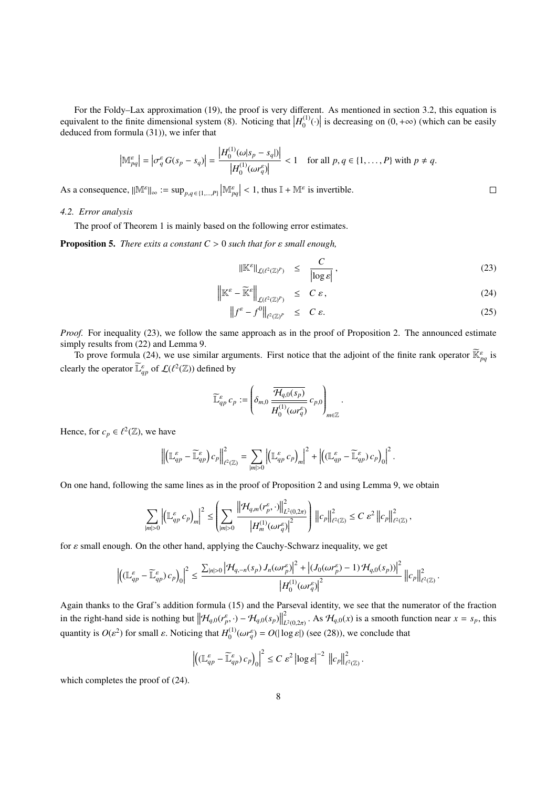For the Foldy–Lax approximation (19), the proof is very different. As mentioned in section 3.2, this equation is<br>equivalent to the finite dimensional system (8). Noticing that  $|H_0^{(1)}(\cdot)|$  is decreasing on (0, + $\infty$ ) (w  $\binom{1}{0}(\cdot)$  is decreasing on  $(0, +\infty)$  (which can be easily deduced from formula (31)), we infer that

$$
\left|\mathbb{M}_{pq}^{\varepsilon}\right| = \left|\sigma_q^{\varepsilon} G(s_p - s_q)\right| = \frac{\left|H_0^{(1)}(\omega|s_p - s_q|)\right|}{\left|H_0^{(1)}(\omega r_q^{\varepsilon})\right|} < 1 \quad \text{for all } p, q \in \{1, \dots, P\} \text{ with } p \neq q.
$$

As a consequence,  $||\mathbb{M}^{\varepsilon}||_{\infty} := \sup_{p,q \in \{1,\dots,P\}} \left|\mathbb{M}^{\varepsilon}_{pq}\right| < 1$ , thus  $\mathbb{I} + \mathbb{M}^{\varepsilon}$  is invertible.

# *4.2. Error analysis*

The proof of Theorem 1 is mainly based on the following error estimates.

Proposition 5. *There exits a constant C* > <sup>0</sup> *such that for* ε *small enough,*

$$
\|\mathbb{K}^{\varepsilon}\|_{\mathcal{L}(\ell^2(\mathbb{Z})^p)} \leq \frac{C}{|\log \varepsilon|},\tag{23}
$$

 $\Box$ 

$$
\left\| \mathbb{K}^{\varepsilon} - \widetilde{\mathbb{K}}^{\varepsilon} \right\|_{\mathcal{L}(\ell^2(\mathbb{Z})^p)} \leq C \varepsilon, \tag{24}
$$

$$
\left\|f^{\varepsilon} - f^{0}\right\|_{\ell^{2}(\mathbb{Z})^{p}} \leq C \varepsilon. \tag{25}
$$

*Proof.* For inequality (23), we follow the same approach as in the proof of Proposition 2. The announced estimate simply results from (22) and Lemma 9.

To prove formula (24), we use similar arguments. First notice that the adjoint of the finite rank operator  $\tilde{\mathbb{K}}_{pq}^{\varepsilon}$  is clearly the operator  $\widetilde{\mathbb{L}}_{q_p}^{\varepsilon}$  of  $\mathcal{L}(\ell^2(\mathbb{Z}))$  defined by

$$
\widetilde{\mathbb{L}}_{qp}^{\varepsilon} c_p := \left( \delta_{m,0} \frac{\overline{\mathcal{H}_{q,0}(s_p)}}{\overline{H_0^{(1)}(\omega r_q^{\varepsilon})}} c_{p,0} \right)_{m \in \mathbb{Z}}
$$

Hence, for  $c_p \in \ell^2(\mathbb{Z})$ , we have

$$
\left\|\left(\mathbb{L}^{\varepsilon}_{qp}-\widetilde{\mathbb{L}}^{\varepsilon}_{qp}\right)c_p\right\|^2_{\ell^2(\mathbb{Z})}=\sum_{|m|>0}\left|\left(\mathbb{L}^{\varepsilon}_{qp}c_p\right)_m\right|^2+\left|\left(\mathbb{L}^{\varepsilon}_{qp}-\widetilde{\mathbb{L}}^{\varepsilon}_{qp}\right)c_p\right)_0\right|^2.
$$

On one hand, following the same lines as in the proof of Proposition 2 and using Lemma 9, we obtain

$$
\sum_{|m|>0}\left|\left(\mathbb{L}_{qp}^\varepsilon\,c_p\right)_m\right|^2\leq \left(\sum_{|m|>0}\frac{\left\|\mathcal{H}_{q,m}(r_p^\varepsilon,\cdot)\right\|^2_{L^2(0,2\pi)} }{\left|H_m^{(1)}(\omega r_q^\varepsilon)\right|^2}\right)\left\|c_p\right\|^2_{\ell^2(\mathbb{Z})}\leq C\,\varepsilon^2\left\|c_p\right\|^2_{\ell^2(\mathbb{Z})},
$$

for  $\varepsilon$  small enough. On the other hand, applying the Cauchy-Schwarz inequality, we get

$$
\left| \left( \left( \mathbb{L}_{qp}^{\varepsilon} - \widetilde{\mathbb{L}}_{qp}^{\varepsilon} \right) c_p \right) \right|^2 \leq \frac{\sum_{|n|>0} \left| \mathcal{H}_{q,-n}(s_p) J_n(\omega r_p^{\varepsilon}) \right|^2 + \left| \left( J_0(\omega r_p^{\varepsilon}) - 1 \right) \mathcal{H}_{q,0}(s_p) \right|^2}{\left| H_0^{(1)}(\omega r_q^{\varepsilon}) \right|^2} \left\| c_p \right\|_{\ell^2(\mathbb{Z})}^2.
$$

Again thanks to the Graf's addition formula (15) and the Parseval identity, we see that the numerator of the fraction in the right-hand side is nothing but  $\left\| \mathcal{H}_{q,0}(r_p^{\varepsilon}, \cdot) - \mathcal{H}_{q,0}(s_p) \right\|$ 2  $L^2$  (0,2*π*). As  $\mathcal{H}_{q,0}(x)$  is a smooth function near  $x = s_p$ , this quantity is  $O(\varepsilon^2)$  for small  $\varepsilon$ . Noticing that  $H_0^{(1)}$  $\int_0^{(1)} (\omega r_q^{\varepsilon}) = O(|\log \varepsilon|)$  (see (28)), we conclude that

$$
\left\|\left(\mathbb{L}_{qp}^{\varepsilon}-\widetilde{\mathbb{L}}_{qp}^{\varepsilon}\right)c_{p}\right_{0}\right\|^{2}\leq C\,\varepsilon^{2}\left\|\log\varepsilon\right\|^{-2}\,\left\|c_{p}\right\|_{\ell^{2}(\mathbb{Z})}^{2}.
$$

which completes the proof of (24).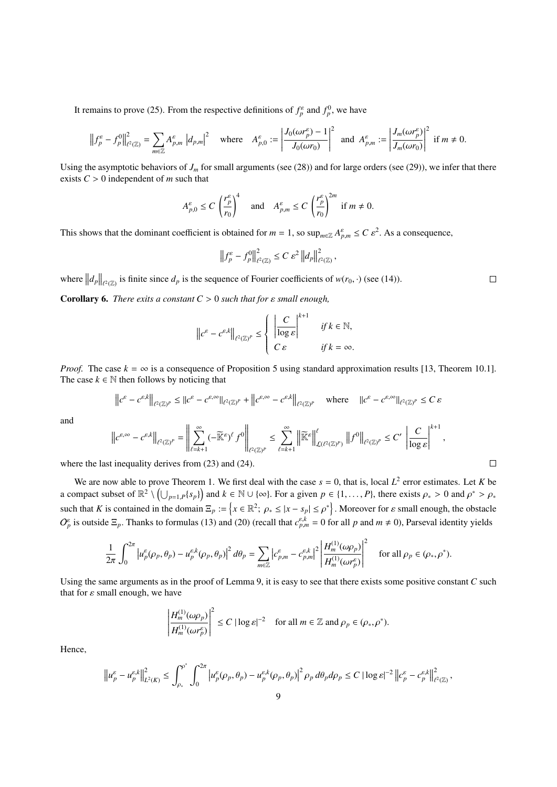It remains to prove (25). From the respective definitions of  $f_p^{\varepsilon}$  and  $f_p^0$ , we have

$$
\left\|f_p^{\varepsilon} - f_p^0\right\|_{\ell^2(\mathbb{Z})}^2 = \sum_{m \in \mathbb{Z}} A_{p,m}^{\varepsilon} \left|d_{p,m}\right|^2 \quad \text{where} \quad A_{p,0}^{\varepsilon} := \left|\frac{J_0(\omega r_p^{\varepsilon}) - 1}{J_0(\omega r_0)}\right|^2 \text{ and } A_{p,m}^{\varepsilon} := \left|\frac{J_m(\omega r_p^{\varepsilon})}{J_m(\omega r_0)}\right|^2 \text{ if } m \neq 0.
$$

Using the asymptotic behaviors of  $J_m$  for small arguments (see (28)) and for large orders (see (29)), we infer that there exists  $C > 0$  independent of *m* such that

$$
A_{p,0}^{\varepsilon} \le C \left(\frac{r_p^{\varepsilon}}{r_0}\right)^4 \quad \text{and} \quad A_{p,m}^{\varepsilon} \le C \left(\frac{r_p^{\varepsilon}}{r_0}\right)^{2m} \text{ if } m \ne 0.
$$

This shows that the dominant coefficient is obtained for  $m = 1$ , so  $\sup_{m \in \mathbb{Z}} A_{p,m}^{\varepsilon} \leq C \varepsilon^2$ . As a consequence,

$$
\left\|f_p^{\varepsilon} - f_p^0\right\|_{\ell^2(\mathbb{Z})}^2 \le C \varepsilon^2 \left\|d_p\right\|_{\ell^2(\mathbb{Z})}^2
$$

,

where  $||d_p||_{\ell^2(\mathbb{Z})}$  is finite since  $d_p$  is the sequence of Fourier coefficients of  $w(r_0, \cdot)$  (see (14)).

Corollary 6. *There exits a constant C* > <sup>0</sup> *such that for* ε *small enough,*

$$
\left\|c^{\varepsilon}-c^{\varepsilon,k}\right\|_{\ell^2(\mathbb{Z})^p}\leq \left\{\begin{array}{ll}\left|\frac{C}{\log\varepsilon}\right|^{k+1} & \text{if }k\in\mathbb{N},\\&\qquad \qquad \text{if }k=\infty,\\ C\,\varepsilon & \text{if }k=\infty.\end{array}\right.
$$

*Proof.* The case  $k = \infty$  is a consequence of Proposition 5 using standard approximation results [13, Theorem 10.1]. The case  $k \in \mathbb{N}$  then follows by noticing that

$$
\left\|c^{\varepsilon}-c^{\varepsilon,k}\right\|_{\ell^2(\mathbb{Z})^p}\leq\|c^{\varepsilon}-c^{\varepsilon,\infty}\|_{\ell^2(\mathbb{Z})^p}+\left\|c^{\varepsilon,\infty}-c^{\varepsilon,k}\right\|_{\ell^2(\mathbb{Z})^p}\quad\text{where}\quad\|c^{\varepsilon}-c^{\varepsilon,\infty}\|_{\ell^2(\mathbb{Z})^p}\leq C\,\varepsilon
$$

and

$$
\left\|c^{\varepsilon,\infty}-c^{\varepsilon,k}\right\|_{\ell^2(\mathbb{Z})^p}=\left\|\sum_{\ell=k+1}^{\infty}(-\widetilde{\mathbb{K}}^{\varepsilon})^{\ell}f^0\right\|_{\ell^2(\mathbb{Z})^p}\leq \sum_{\ell=k+1}^{\infty}\left\|\widetilde{\mathbb{K}}^{\varepsilon}\right\|_{\mathcal{L}(\ell^2(\mathbb{Z})^p)}^{\ell}\left\|f^0\right\|_{\ell^2(\mathbb{Z})^p}\leq C'\left\|\frac{C}{\log \varepsilon}\right\|^{k+1},\,
$$
\n
$$
\Box
$$
\nIt inequality derives from (23) and (24).

where the last inequality derives from (23) and (24).

We are now able to prove Theorem 1. We first deal with the case  $s = 0$ , that is, local  $L^2$  error estimates. Let *K* be proposed subset of  $\mathbb{R}^2 \setminus \{1, \ldots, \ldots, \ldots\}$  and  $k \in \mathbb{N}$  is local. For a given  $n \in \{1, \ldots,$ a compact subset of  $\mathbb{R}^2 \setminus \left( \bigcup_{p=1, P} \{ s_p \} \right)$  and  $k \in \mathbb{N} \cup \{ \infty \}$ . For a given  $p \in \{1, ..., P\}$ , there exists  $\rho_* > 0$  and  $\rho^* > \rho_*$ such that *K* is contained in the domain  $\Xi_p := \{x \in \mathbb{R}^2; \ \rho_* \leq |x - s_p| \leq \rho^*\}$ . Moreover for  $\varepsilon$  small enough, the obstacle  $O_p^{\varepsilon}$  is outside  $\Xi_p$ . Thanks to formulas (13) and (20) (recall that  $c_{p,m}^{\varepsilon,k} = 0$  for all *p* and  $m \neq 0$ ), Parseval identity yields

$$
\frac{1}{2\pi} \int_0^{2\pi} \left| u_p^{\varepsilon}(\rho_p, \theta_p) - u_p^{\varepsilon, k}(\rho_p, \theta_p) \right|^2 d\theta_p = \sum_{m \in \mathbb{Z}} \left| c_{p,m}^{\varepsilon} - c_{p,m}^{\varepsilon, k} \right|^2 \left| \frac{H_m^{(1)}(\omega \rho_p)}{H_m^{(1)}(\omega r_p^{\varepsilon})} \right|^2 \quad \text{for all } \rho_p \in (\rho_*, \rho^*).
$$

Using the same arguments as in the proof of Lemma 9, it is easy to see that there exists some positive constant *C* such that for  $\varepsilon$  small enough, we have

$$
\left|\frac{H_m^{(1)}(\omega \rho_p)}{H_m^{(1)}(\omega r_p^{\varepsilon})}\right|^2 \le C |\log \varepsilon|^{-2} \quad \text{for all } m \in \mathbb{Z} \text{ and } \rho_p \in (\rho_*, \rho^*).
$$

Hence,

$$
\left\|u_p^{\varepsilon}-u_p^{\varepsilon,k}\right\|_{L^2(K)}^2 \leq \int_{\rho_*}^{\rho^*}\int_0^{2\pi}\left|u_p^{\varepsilon}(\rho_p,\theta_p)-u_p^{\varepsilon,k}(\rho_p,\theta_p)\right|^2\rho_p\,d\theta_p d\rho_p \leq C\left|\log\varepsilon\right|^{-2}\left\|c_p^{\varepsilon}-c_p^{\varepsilon,k}\right\|_{\ell^2(\mathbb{Z})}^2,
$$

 $\Box$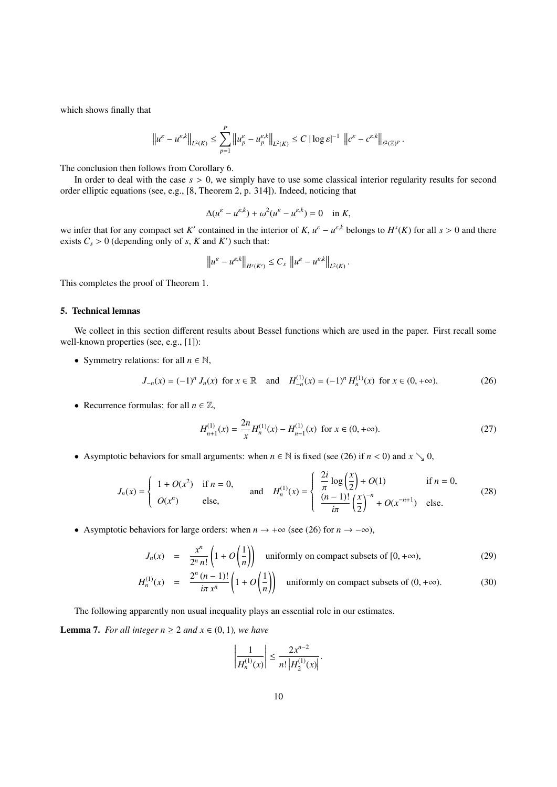which shows finally that

$$
\left\|u^{\varepsilon}-u^{\varepsilon,k}\right\|_{L^{2}(K)} \leq \sum_{p=1}^{P}\left\|u_{p}^{\varepsilon}-u_{p}^{\varepsilon,k}\right\|_{L^{2}(K)} \leq C\left|\log\varepsilon\right|^{-1}\,\,\left\|c^{\varepsilon}-c^{\varepsilon,k}\right\|_{\ell^{2}(\mathbb{Z})^{P}}
$$

The conclusion then follows from Corollary 6.

In order to deal with the case  $s > 0$ , we simply have to use some classical interior regularity results for second order elliptic equations (see, e.g., [8, Theorem 2, p. 314]). Indeed, noticing that

$$
\Delta(u^{\varepsilon} - u^{\varepsilon,k}) + \omega^2 (u^{\varepsilon} - u^{\varepsilon,k}) = 0 \quad \text{in } K,
$$

we infer that for any compact set *K'* contained in the interior of *K*,  $u^{\varepsilon} - u^{\varepsilon,k}$  belongs to  $H^s(K)$  for all  $s > 0$  and there<br>exists  $C > 0$  (depending only of  $s \lt K$  and *K'*) such that: exists  $C_s > 0$  (depending only of *s*, *K* and *K'*) such that:

$$
\left\|u^{\varepsilon}-u^{\varepsilon,k}\right\|_{H^{s}(K')}\leq C_{s}\left\|u^{\varepsilon}-u^{\varepsilon,k}\right\|_{L^{2}(K)}.
$$

This completes the proof of Theorem 1.

# 5. Technical lemnas

We collect in this section different results about Bessel functions which are used in the paper. First recall some well-known properties (see, e.g., [1]):

• Symmetry relations: for all  $n \in \mathbb{N}$ ,

$$
J_{-n}(x) = (-1)^n J_n(x) \text{ for } x \in \mathbb{R} \text{ and } H_{-n}^{(1)}(x) = (-1)^n H_n^{(1)}(x) \text{ for } x \in (0, +\infty).
$$
 (26)

• Recurrence formulas: for all  $n \in \mathbb{Z}$ ,

$$
H_{n+1}^{(1)}(x) = \frac{2n}{x} H_n^{(1)}(x) - H_{n-1}^{(1)}(x) \text{ for } x \in (0, +\infty).
$$
 (27)

• Asymptotic behaviors for small arguments: when  $n \in \mathbb{N}$  is fixed (see (26) if  $n < 0$ ) and  $x \searrow 0$ ,

$$
J_n(x) = \begin{cases} 1 + O(x^2) & \text{if } n = 0, \\ O(x^n) & \text{else,} \end{cases} \quad \text{and} \quad H_n^{(1)}(x) = \begin{cases} \frac{2i}{\pi} \log\left(\frac{x}{2}\right) + O(1) & \text{if } n = 0, \\ \frac{(n-1)!}{i\pi} \left(\frac{x}{2}\right)^{-n} + O(x^{-n+1}) & \text{else.} \end{cases} \tag{28}
$$

• Asymptotic behaviors for large orders: when  $n \to +\infty$  (see (26) for  $n \to -\infty$ ),

$$
J_n(x) = \frac{x^n}{2^n n!} \left( 1 + O\left(\frac{1}{n}\right) \right)
$$
 uniformly on compact subsets of  $[0, +\infty)$ , (29)

$$
H_n^{(1)}(x) = \frac{2^n (n-1)!}{i\pi x^n} \left(1 + O\left(\frac{1}{n}\right)\right) \text{ uniformly on compact subsets of } (0, +\infty). \tag{30}
$$

The following apparently non usual inequality plays an essential role in our estimates.

**Lemma 7.** *For all integer*  $n \geq 2$  *and*  $x \in (0, 1)$ *, we have* 

$$
\left|\frac{1}{H_n^{(1)}(x)}\right| \le \frac{2x^{n-2}}{n!\left|H_2^{(1)}(x)\right|}
$$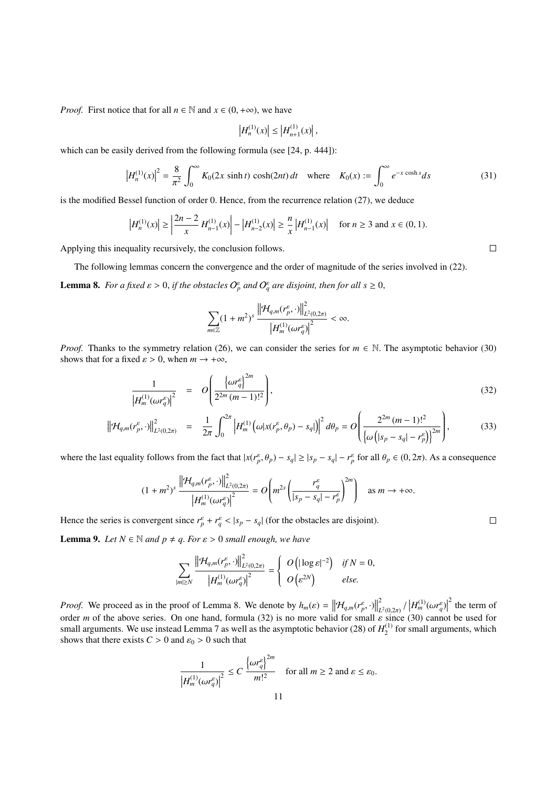*Proof.* First notice that for all  $n \in \mathbb{N}$  and  $x \in (0, +\infty)$ , we have

$$
\left|H_n^{(1)}(x)\right| \le \left|H_{n+1}^{(1)}(x)\right|,
$$

which can be easily derived from the following formula (see [24, p. 444]):

$$
\left|H_n^{(1)}(x)\right|^2 = \frac{8}{\pi^2} \int_0^\infty K_0(2x \sinh t) \cosh(2nt) \, dt \quad \text{where} \quad K_0(x) := \int_0^\infty e^{-x \cosh s} \, ds \tag{31}
$$

is the modified Bessel function of order 0. Hence, from the recurrence relation (27), we deduce

$$
\left|H_n^{(1)}(x)\right| \ge \left|\frac{2n-2}{x}H_{n-1}^{(1)}(x)\right| - \left|H_{n-2}^{(1)}(x)\right| \ge \frac{n}{x} \left|H_{n-1}^{(1)}(x)\right| \quad \text{for } n \ge 3 \text{ and } x \in (0,1).
$$

Applying this inequality recursively, the conclusion follows.

The following lemmas concern the convergence and the order of magnitude of the series involved in (22).

**Lemma 8.** For a fixed  $\varepsilon > 0$ , if the obstacles  $O_p^{\varepsilon}$  and  $O_q^{\varepsilon}$  are disjoint, then for all  $s \ge 0$ ,

$$
\sum_{m\in\mathbb{Z}}(1+m^2)^s\,\frac{\left\|\mathcal{H}_{q,m}(r_p^{\varepsilon},\cdot)\right\|^2_{L^2(0,2\pi)}}{\left|H_m^{(1)}(\omega r_q^{\varepsilon})\right|^2}<\infty.
$$

*Proof.* Thanks to the symmetry relation (26), we can consider the series for  $m \in \mathbb{N}$ . The asymptotic behavior (30) shows that for a fixed  $\varepsilon > 0$ , when  $m \to +\infty$ ,

$$
\frac{1}{\left|H_m^{(1)}(\omega r_q^{\varepsilon})\right|^2} = O\left(\frac{\left\{\omega r_q^{\varepsilon}\right\}^{2m}}{2^{2m}(m-1)!^2}\right),\tag{32}
$$

$$
\left\| \mathcal{H}_{q,m}(r_p^{\varepsilon},\cdot) \right\|_{L^2(0,2\pi)}^2 = \frac{1}{2\pi} \int_0^{2\pi} \left| H_m^{(1)}\left(\omega | x(r_p^{\varepsilon},\theta_p) - s_q| \right) \right|^2 d\theta_p = O\left( \frac{2^{2m} (m-1)!^2}{\left\{ \omega \left( |s_p - s_q| - r_p^{\varepsilon} \right) \right\}^{2m}} \right),
$$
(33)

where the last equality follows from the fact that  $|x(r_p^{\varepsilon}, \theta_p) - s_q| \ge |s_p - s_q| - r_p^{\varepsilon}$  for all  $\theta_p \in (0, 2\pi)$ . As a consequence

$$
(1+m^2)^s \frac{\left\| \mathcal{H}_{q,m}(r_p^{\varepsilon},\cdot) \right\|_{L^2(0,2\pi)}^2}{\left| H_m^{(1)}(\omega r_q^{\varepsilon}) \right|^2} = O\left( m^{2s} \left( \frac{r_q^{\varepsilon}}{|s_p - s_q| - r_p^{\varepsilon}} \right)^{2m} \right) \quad \text{as } m \to +\infty.
$$

Hence the series is convergent since  $r_p^{\varepsilon} + r_q^{\varepsilon} < |s_p - s_q|$  (for the obstacles are disjoint).

**Lemma 9.** *Let*  $N \in \mathbb{N}$  *and*  $p \neq q$ *. For*  $\varepsilon > 0$  *small enough, we have* 

$$
\sum_{|m|\geq N} \frac{\left\|\mathcal{H}_{q,m}(r_p^{\varepsilon},\cdot)\right\|_{L^2(0,2\pi)}^2}{\left|H_m^{(1)}(\omega r_q^{\varepsilon})\right|^2}=\left\{\begin{array}{ll} O\left(|\log \varepsilon|^{-2}\right) & \text{if } N=0, \\ O\left(\varepsilon^{2N}\right) & \text{else.} \end{array}\right.
$$

*Proof.* We proceed as in the proof of Lemma 8. We denote by  $h_m(\varepsilon) = ||\mathcal{H}_{q,m}(r_p^{\varepsilon}, \cdot)||$ 2  $L^2(0,2\pi)$ <sup>'</sup><br>ε since *H*<sup>(1)</sup><sub>*ωr*<sup>ε</sup><sub>*q</sub>*)<sup>*d*</sup></sup></sub></sub>  $2$  the term of order *m* of the above series. On one hand, formula (32) is no more valid for small  $\varepsilon$  since (30) cannot be used for small arguments. We use instead Lemma 7 as well as the asymptotic behavior (28) of  $H_2^{(1)}$  for smal  $2^{(1)}$  for small arguments, which shows that there exists  $C > 0$  and  $\varepsilon_0 > 0$  such that

$$
\frac{1}{\left|H_m^{(1)}(\omega r_q^{\varepsilon})\right|^2} \le C \frac{\left\{\omega r_q^{\varepsilon}\right\}^{2m}}{m!^2} \quad \text{for all } m \ge 2 \text{ and } \varepsilon \le \varepsilon_0.
$$

 $\Box$ 

 $\Box$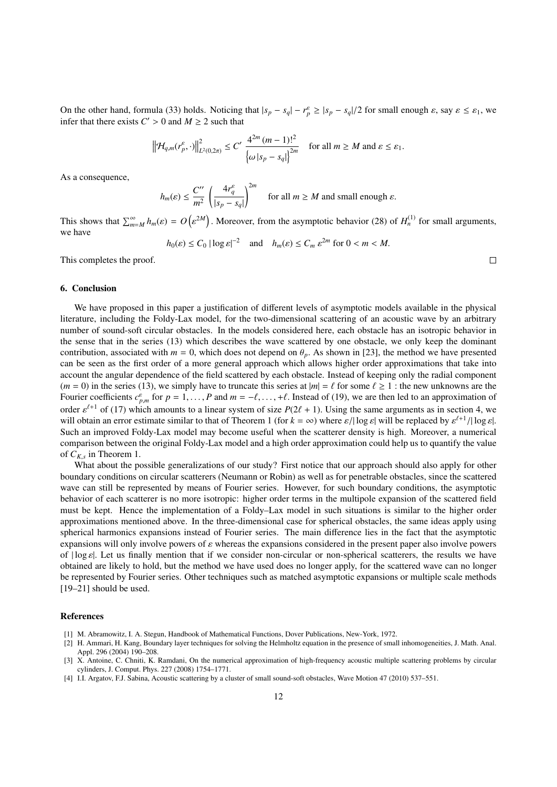On the other hand, formula (33) holds. Noticing that  $|s_p - s_q| - r_p^{\varepsilon} \ge |s_p - s_q|/2$  for small enough  $\varepsilon$ , say  $\varepsilon \le \varepsilon_1$ , we infer that there exists  $C' > 0$  and  $M > 2$  such that infer that there exists  $C' > 0$  and  $M \ge 2$  such that

$$
\left\|\mathcal{H}_{q,m}(r_p^{\varepsilon},\cdot)\right\|_{L^2(0,2\pi)}^2 \leq C' \frac{4^{2m} (m-1)!^2}{\left\{\omega |s_p - s_q|\right\}^{2m}} \quad \text{for all } m \geq M \text{ and } \varepsilon \leq \varepsilon_1.
$$

As a consequence,

$$
h_m(\varepsilon) \le \frac{C''}{m^2} \left( \frac{4r_q^{\varepsilon}}{|s_p - s_q|} \right)^{2m} \quad \text{for all } m \ge M \text{ and small enough } \varepsilon.
$$

This shows that  $\sum_{m=M}^{\infty} h_m(\varepsilon) = O\left(\frac{1}{\varepsilon}\right)$ <sup>2M</sup>). Moreover, from the asymptotic behavior (28) of  $H_n^{(1)}$  for small arguments, we have

$$
h_0(\varepsilon) \le C_0 |\log \varepsilon|^{-2}
$$
 and  $h_m(\varepsilon) \le C_m \varepsilon^{2m}$  for  $0 < m < M$ .

This completes the proof.

# 6. Conclusion

We have proposed in this paper a justification of different levels of asymptotic models available in the physical literature, including the Foldy-Lax model, for the two-dimensional scattering of an acoustic wave by an arbitrary number of sound-soft circular obstacles. In the models considered here, each obstacle has an isotropic behavior in the sense that in the series (13) which describes the wave scattered by one obstacle, we only keep the dominant contribution, associated with  $m = 0$ , which does not depend on  $\theta_p$ . As shown in [23], the method we have presented can be seen as the first order of a more general approach which allows higher order approximations that take into account the angular dependence of the field scattered by each obstacle. Instead of keeping only the radial component  $(m = 0)$  in the series (13), we simply have to truncate this series at  $|m| = \ell$  for some  $\ell \ge 1$  : the new unknowns are the Fourier coefficients  $c_{p,m}^{\varepsilon}$  for  $p = 1, \ldots, P$  and  $m = -\ell, \ldots, +\ell$ . Instead of (19), we are then led to an approximation of order  $c_{p,m}^{\ell+1}$  of (17) which approximate to a linear system of size  $P(2\ell + 1)$ . Using order  $\varepsilon^{l+1}$  of (17) which amounts to a linear system of size  $P(2\ell + 1)$ . Using the same arguments as in section 4, we will obtain an error estimate similar to that of Theorem 1 (for  $k = \infty$ ) where  $\varepsilon / |\log \varepsilon|$  will will obtain an error estimate similar to that of Theorem 1 (for  $k = \infty$ ) where  $\varepsilon / |\log \varepsilon|$  will be replaced by  $\varepsilon^{l+1} / |\log \varepsilon|$ .<br>Such an improved Foldy-Lax model may become useful when the scatterer density is high. M Such an improved Foldy-Lax model may become useful when the scatterer density is high. Moreover, a numerical comparison between the original Foldy-Lax model and a high order approximation could help us to quantify the value of  $C_{K,s}$  in Theorem 1.

What about the possible generalizations of our study? First notice that our approach should also apply for other boundary conditions on circular scatterers (Neumann or Robin) as well as for penetrable obstacles, since the scattered wave can still be represented by means of Fourier series. However, for such boundary conditions, the asymptotic behavior of each scatterer is no more isotropic: higher order terms in the multipole expansion of the scattered field must be kept. Hence the implementation of a Foldy–Lax model in such situations is similar to the higher order approximations mentioned above. In the three-dimensional case for spherical obstacles, the same ideas apply using spherical harmonics expansions instead of Fourier series. The main difference lies in the fact that the asymptotic expansions will only involve powers of  $\varepsilon$  whereas the expansions considered in the present paper also involve powers of  $|\log \varepsilon|$ . Let us finally mention that if we consider non-circular or non-spherical scatterers, the results we have obtained are likely to hold, but the method we have used does no longer apply, for the scattered wave can no longer be represented by Fourier series. Other techniques such as matched asymptotic expansions or multiple scale methods [19–21] should be used.

# References

- [1] M. Abramowitz, I. A. Stegun, Handbook of Mathematical Functions, Dover Publications, New-York, 1972.
- [2] H. Ammari, H. Kang, Boundary layer techniques for solving the Helmholtz equation in the presence of small inhomogeneities, J. Math. Anal. Appl. 296 (2004) 190–208.
- [3] X. Antoine, C. Chniti, K. Ramdani, On the numerical approximation of high-frequency acoustic multiple scattering problems by circular cylinders, J. Comput. Phys. 227 (2008) 1754–1771.
- [4] I.I. Argatov, F.J. Sabina, Acoustic scattering by a cluster of small sound-soft obstacles, Wave Motion 47 (2010) 537–551.

 $\Box$